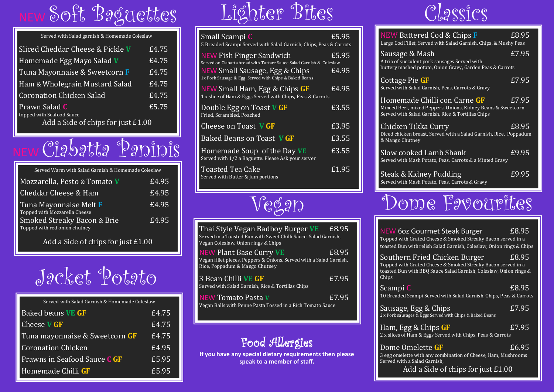## Soft Baguettes

| Served with Salad garnish & Homemade Coleslaw                   |       |
|-----------------------------------------------------------------|-------|
| Sliced Cheddar Cheese & Pickle V                                | £4.75 |
| Homemade Egg Mayo Salad V                                       | £4.75 |
| Tuna Mayonnaise & Sweetcorn F                                   | £4.75 |
| Ham & Wholegrain Mustard Salad                                  | £4.75 |
| <b>Coronation Chicken Salad</b>                                 | £4.75 |
| Prawn Salad C                                                   | £5.75 |
| topped with Seafood Sauce<br>Add a Side of chips for just £1.00 |       |

## Ciabatta Paninis

| Served Warm with Salad Garnish & Homemade Coleslaw           |       |
|--------------------------------------------------------------|-------|
| Mozzarella, Pesto & Tomato V                                 | £4.95 |
| Cheddar Cheese & Ham                                         | £4.95 |
| Tuna Mayonnaise Melt F<br>Topped with Mozzarella Cheese      | £4.95 |
| Smoked Streaky Bacon & Brie<br>Topped with red onion chutney | £4.95 |

Add a Side of chips for just £1.00

Jacket Potato

| Served with Salad Garnish & Homemade Coleslaw |       |
|-----------------------------------------------|-------|
| <b>Baked beans VE GF</b>                      | £4.75 |
| <b>Cheese V GF</b>                            | £4.75 |
| Tuna mayonnaise & Sweetcorn GF                | £4.75 |
| <b>Coronation Chicken</b>                     | £4.95 |
| Prawns in Seafood Sauce C GF                  | £5.95 |
| Homemade Chilli GF                            | £5.95 |
|                                               |       |

# Lighter Bites

| Small Scampi C<br>5 Breaded Scampi Served with Salad Garnish, Chips, Peas & Carrots              | £5.95 |
|--------------------------------------------------------------------------------------------------|-------|
| NEW Fish Finger Sandwich<br>Served on Ciabatta bread with Tartare Sauce Salad Garnish & Coleslaw | £5.95 |
| NEW Small Sausage, Egg & Chips<br>1x Pork Sausage & Egg Served with Chips & Baked Beans          | £4.95 |
| NEW Small Ham, Egg & Chips GF<br>1 x slice of Ham & Eggs Served with Chips, Peas & Carrots       | £4.95 |
| Double Egg on Toast V GF<br>Fried, Scrambled, Poached                                            | £3.55 |
| Cheese on Toast VGF                                                                              | £3.95 |
| Baked Beans on Toast VGF                                                                         | £3.55 |
| Homemade Soup of the Day VE<br>Served with 1/2 a Baguette. Please Ask your server                | £3.55 |
| <b>Toasted Tea Cake</b><br>Served with Butter & Jam portions                                     | £1.95 |

## Vegan

| Thai Style Vegan Badboy Burger VE<br>Served in a Toasted Bun with Sweet Chilli Sauce, Salad Garnish,<br>Vegan Coleslaw, Onion rings & Chips | £8.95 |
|---------------------------------------------------------------------------------------------------------------------------------------------|-------|
| NEW Plant Base Curry VE<br>Vegan fillet pieces, Peppers & Onions. Served with a Salad Garnish,<br>Rice, Poppadum & Mango Chutney            | £8.95 |
| 3 Bean Chilli VE GF<br>Served with Salad Garnish, Rice & Tortillas Chips                                                                    | £7.95 |
| <b>NEW Tomato Pasta V</b><br>Vegan Balls with Penne Pasta Tossed in a Rich Tomato Sauce                                                     | £7.95 |

#### Food Allergies

**If you have any special dietary requirements then please speak to a member of staff.** 

#### Classics

| NEW Battered Cod & Chips F<br>Large Cod Fillet, Served with Salad Garnish, Chips, & Mushy Peas                                                    | £8.95 |
|---------------------------------------------------------------------------------------------------------------------------------------------------|-------|
| Sausage & Mash<br>A trio of succulent pork sausages Served with<br>buttery mashed potato, Onion Gravy, Garden Peas & Carrots                      | £7.95 |
| Cottage Pie GF<br>Served with Salad Garnish, Peas, Carrots & Gravy                                                                                | £7.95 |
| Homemade Chilli con Carne GF<br>Minced Beef, mixed Peppers, Onions, Kidney Beans & Sweetcorn<br>Served with Salad Garnish, Rice & Tortillas Chips | £7.95 |
| Chicken Tikka Curry<br>Diced chicken breast, Served with a Salad Garnish, Rice, Poppadum<br>& Mango Chutney                                       | £8.95 |
| Slow cooked Lamb Shank<br>Served with Mash Potato, Peas, Carrots & a Minted Gravy                                                                 | £9.95 |
| Steak & Kidney Pudding<br>Served with Mash Potato, Peas, Carrots & Gravy                                                                          | £9.95 |
| lople Favourites                                                                                                                                  |       |

| <b>NEW 60z Gourmet Steak Burger</b><br>£8.95<br>Topped with Grated Cheese & Smoked Streaky Bacon served in a<br>toasted Bun with relish Salad Garnish, Coleslaw, Onion rings & Chips |
|--------------------------------------------------------------------------------------------------------------------------------------------------------------------------------------|
| Southern Fried Chicken Burger<br>£8.95<br>Topped with Grated Cheese & Smoked Streaky Bacon served in a<br>toasted Bun with BBQ Sauce Salad Garnish, Coleslaw, Onion rings &<br>Chips |
| £8.95<br>Scampi C<br>10 Breaded Scampi Served with Salad Garnish, Chips, Peas & Carrots                                                                                              |
| £7.95<br>Sausage, Egg & Chips<br>2 x Pork sausages & Eggs Served with Chips & Baked Beans                                                                                            |
| E7.95<br>Ham, Egg & Chips GF<br>2 x slices of Ham & Eggs Served with Chips, Peas & Carrots                                                                                           |
| Dome Omelette GF<br>£6.95<br>3 egg omelette with any combination of Cheese, Ham, Mushrooms<br>Served with a Salad Garnish,                                                           |

Add a Side of chips for just £1.00